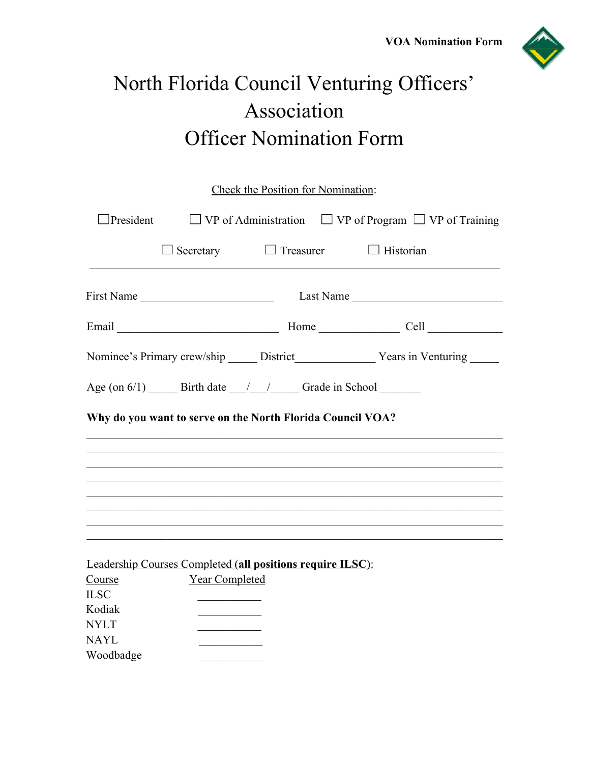

# North Florida Council Venturing Officers' Association Officer Nomination Form

| Check the Position for Nomination: |                       |                                                                   |                                                                                   |  |
|------------------------------------|-----------------------|-------------------------------------------------------------------|-----------------------------------------------------------------------------------|--|
| $\Box$ President                   |                       |                                                                   | $\Box$ VP of Administration $\Box$ VP of Program $\Box$ VP of Training            |  |
|                                    |                       | $\Box$ Secretary $\Box$ Treasurer $\Box$ Historian                |                                                                                   |  |
|                                    | First Name            |                                                                   | Last Name                                                                         |  |
|                                    |                       |                                                                   |                                                                                   |  |
|                                    |                       |                                                                   |                                                                                   |  |
|                                    |                       |                                                                   |                                                                                   |  |
|                                    |                       | Why do you want to serve on the North Florida Council VOA?        | ,我们也不能在这里的人,我们也不能在这里的人,我们也不能在这里的人,我们也不能在这里的人,我们也不能在这里的人,我们也不能在这里的人,我们也不能在这里的人,我们也 |  |
|                                    |                       |                                                                   |                                                                                   |  |
|                                    |                       |                                                                   |                                                                                   |  |
|                                    |                       | <b>Leadership Courses Completed (all positions require ILSC):</b> |                                                                                   |  |
| Course                             | <b>Year Completed</b> |                                                                   |                                                                                   |  |
| <b>ILSC</b>                        |                       |                                                                   |                                                                                   |  |
| Kodiak                             |                       |                                                                   |                                                                                   |  |
| <b>NYLT</b>                        |                       |                                                                   |                                                                                   |  |
| <b>NAYL</b><br>Woodbadge           |                       |                                                                   |                                                                                   |  |
|                                    |                       |                                                                   |                                                                                   |  |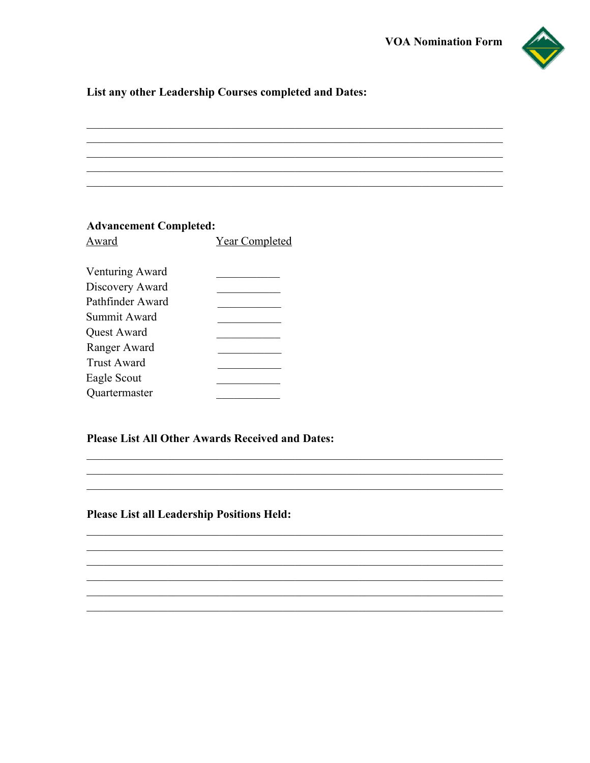

### List any other Leadership Courses completed and Dates:

#### **Advancement Completed:**

| Award              | <b>Year Completed</b> |
|--------------------|-----------------------|
| Venturing Award    |                       |
| Discovery Award    |                       |
| Pathfinder Award   |                       |
| Summit Award       |                       |
| Quest Award        |                       |
| Ranger Award       |                       |
| <b>Trust Award</b> |                       |
| Eagle Scout        |                       |
| Quartermaster      |                       |
|                    |                       |

#### Please List All Other Awards Received and Dates:

#### **Please List all Leadership Positions Held:**